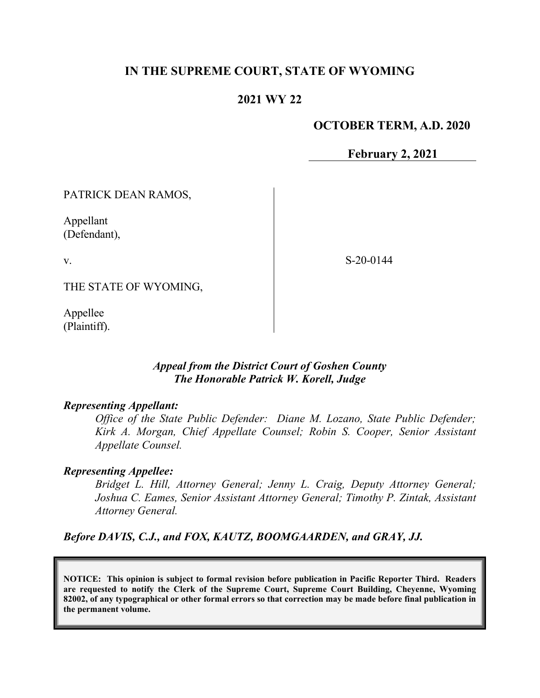# **IN THE SUPREME COURT, STATE OF WYOMING**

# **2021 WY 22**

### **OCTOBER TERM, A.D. 2020**

**February 2, 2021**

PATRICK DEAN RAMOS,

Appellant (Defendant),

v.

S-20-0144

THE STATE OF WYOMING,

Appellee (Plaintiff).

## *Appeal from the District Court of Goshen County The Honorable Patrick W. Korell, Judge*

#### *Representing Appellant:*

*Office of the State Public Defender: Diane M. Lozano, State Public Defender; Kirk A. Morgan, Chief Appellate Counsel; Robin S. Cooper, Senior Assistant Appellate Counsel.*

#### *Representing Appellee:*

*Bridget L. Hill, Attorney General; Jenny L. Craig, Deputy Attorney General; Joshua C. Eames, Senior Assistant Attorney General; Timothy P. Zintak, Assistant Attorney General.*

*Before DAVIS, C.J., and FOX, KAUTZ, BOOMGAARDEN, and GRAY, JJ.*

**NOTICE: This opinion is subject to formal revision before publication in Pacific Reporter Third. Readers are requested to notify the Clerk of the Supreme Court, Supreme Court Building, Cheyenne, Wyoming 82002, of any typographical or other formal errors so that correction may be made before final publication in the permanent volume.**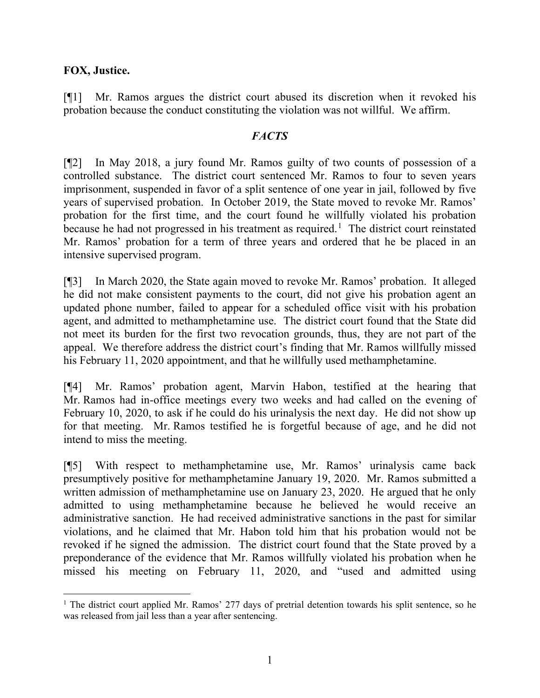## **FOX, Justice.**

[¶1] Mr. Ramos argues the district court abused its discretion when it revoked his probation because the conduct constituting the violation was not willful. We affirm.

## *FACTS*

[¶2] In May 2018, a jury found Mr. Ramos guilty of two counts of possession of a controlled substance. The district court sentenced Mr. Ramos to four to seven years imprisonment, suspended in favor of a split sentence of one year in jail, followed by five years of supervised probation. In October 2019, the State moved to revoke Mr. Ramos' probation for the first time, and the court found he willfully violated his probation because he had not progressed in his treatment as required.<sup>[1](#page-1-0)</sup> The district court reinstated Mr. Ramos' probation for a term of three years and ordered that he be placed in an intensive supervised program.

[¶3] In March 2020, the State again moved to revoke Mr. Ramos' probation. It alleged he did not make consistent payments to the court, did not give his probation agent an updated phone number, failed to appear for a scheduled office visit with his probation agent, and admitted to methamphetamine use. The district court found that the State did not meet its burden for the first two revocation grounds, thus, they are not part of the appeal. We therefore address the district court's finding that Mr. Ramos willfully missed his February 11, 2020 appointment, and that he willfully used methamphetamine.

[¶4] Mr. Ramos' probation agent, Marvin Habon, testified at the hearing that Mr. Ramos had in-office meetings every two weeks and had called on the evening of February 10, 2020, to ask if he could do his urinalysis the next day. He did not show up for that meeting. Mr. Ramos testified he is forgetful because of age, and he did not intend to miss the meeting.

[¶5] With respect to methamphetamine use, Mr. Ramos' urinalysis came back presumptively positive for methamphetamine January 19, 2020. Mr. Ramos submitted a written admission of methamphetamine use on January 23, 2020. He argued that he only admitted to using methamphetamine because he believed he would receive an administrative sanction. He had received administrative sanctions in the past for similar violations, and he claimed that Mr. Habon told him that his probation would not be revoked if he signed the admission. The district court found that the State proved by a preponderance of the evidence that Mr. Ramos willfully violated his probation when he missed his meeting on February 11, 2020, and "used and admitted using

<span id="page-1-0"></span><sup>&</sup>lt;sup>1</sup> The district court applied Mr. Ramos' 277 days of pretrial detention towards his split sentence, so he was released from jail less than a year after sentencing.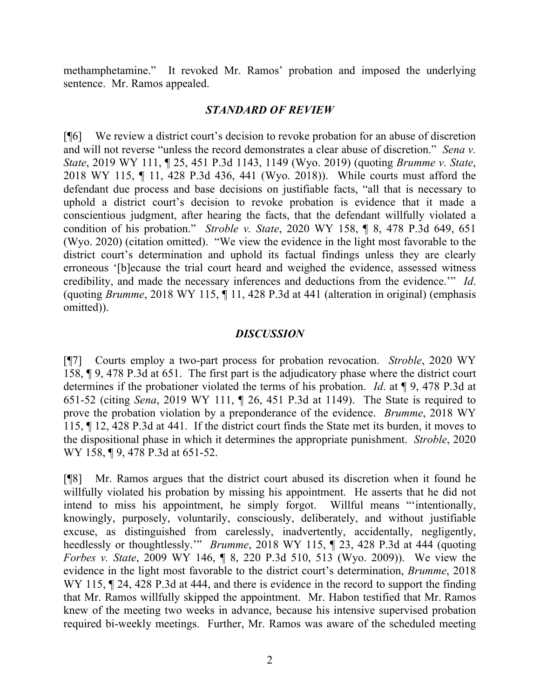methamphetamine." It revoked Mr. Ramos' probation and imposed the underlying sentence. Mr. Ramos appealed.

#### *STANDARD OF REVIEW*

[¶6] We review a district court's decision to revoke probation for an abuse of discretion and will not reverse "unless the record demonstrates a clear abuse of discretion." *Sena v. State*, 2019 WY 111, ¶ 25, 451 P.3d 1143, 1149 (Wyo. 2019) (quoting *Brumme v. State*, 2018 WY 115, ¶ 11, 428 P.3d 436, 441 (Wyo. 2018)). While courts must afford the defendant due process and base decisions on justifiable facts, "all that is necessary to uphold a district court's decision to revoke probation is evidence that it made a conscientious judgment, after hearing the facts, that the defendant willfully violated a condition of his probation." *Stroble v. State*, 2020 WY 158, ¶ 8, 478 P.3d 649, 651 (Wyo. 2020) (citation omitted). "We view the evidence in the light most favorable to the district court's determination and uphold its factual findings unless they are clearly erroneous '[b]ecause the trial court heard and weighed the evidence, assessed witness credibility, and made the necessary inferences and deductions from the evidence.'" *Id*. (quoting *Brumme*, 2018 WY 115, ¶ 11, 428 P.3d at 441 (alteration in original) (emphasis omitted)).

### *DISCUSSION*

[¶7] Courts employ a two-part process for probation revocation. *Stroble*, 2020 WY 158, ¶ 9, 478 P.3d at 651. The first part is the adjudicatory phase where the district court determines if the probationer violated the terms of his probation. *Id*. at ¶ 9, 478 P.3d at 651-52 (citing *Sena*, 2019 WY 111, ¶ 26, 451 P.3d at 1149). The State is required to prove the probation violation by a preponderance of the evidence. *Brumme*, 2018 WY 115, ¶ 12, 428 P.3d at 441. If the district court finds the State met its burden, it moves to the dispositional phase in which it determines the appropriate punishment. *Stroble*, 2020 WY 158, ¶ 9, 478 P.3d at 651-52.

[¶8] Mr. Ramos argues that the district court abused its discretion when it found he willfully violated his probation by missing his appointment. He asserts that he did not intend to miss his appointment, he simply forgot. Willful means "'intentionally, knowingly, purposely, voluntarily, consciously, deliberately, and without justifiable excuse, as distinguished from carelessly, inadvertently, accidentally, negligently, heedlessly or thoughtlessly.'" *Brumme*, 2018 WY 115, ¶ 23, 428 P.3d at 444 (quoting *Forbes v. State*, 2009 WY 146, ¶ 8, 220 P.3d 510, 513 (Wyo. 2009)). We view the evidence in the light most favorable to the district court's determination, *Brumme*, 2018 WY 115,  $\parallel$  24, 428 P.3d at 444, and there is evidence in the record to support the finding that Mr. Ramos willfully skipped the appointment. Mr. Habon testified that Mr. Ramos knew of the meeting two weeks in advance, because his intensive supervised probation required bi-weekly meetings. Further, Mr. Ramos was aware of the scheduled meeting